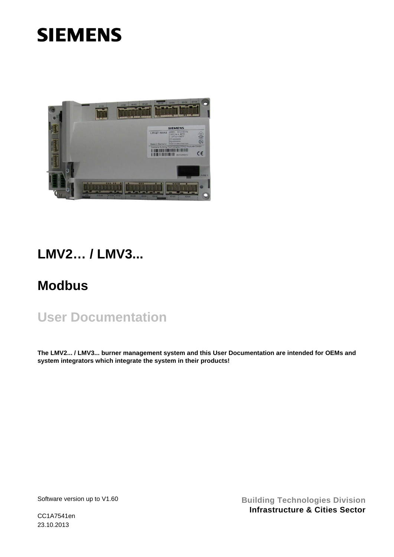# **SIEMENS**



## **LMV2… / LMV3...**

## **Modbus**

## **User Documentation**

**The LMV2... / LMV3... burner management system and this User Documentation are intended for OEMs and system integrators which integrate the system in their products!** 

Software version up to V1.60

**Building Technologies Division Infrastructure & Cities Sector**

CC1A7541en 23.10.2013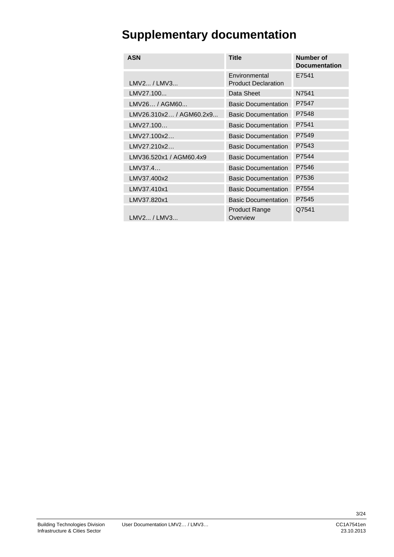## **Supplementary documentation**

| <b>ASN</b>              | <b>Title</b>                                | Number of<br><b>Documentation</b> |
|-------------------------|---------------------------------------------|-----------------------------------|
| LMV2 / LMV3             | Environmental<br><b>Product Declaration</b> | E7541                             |
| LMV27.100               | Data Sheet                                  | N7541                             |
| LMV26 / AGM60           | <b>Basic Documentation</b>                  | P7547                             |
| LMV26.310x2 / AGM60.2x9 | <b>Basic Documentation</b>                  | P7548                             |
| LMV27.100               | <b>Basic Documentation</b>                  | P7541                             |
| LMV27.100x2             | <b>Basic Documentation</b>                  | P7549                             |
| LMV27.210x2             | <b>Basic Documentation</b>                  | P7543                             |
| LMV36.520x1 / AGM60.4x9 | <b>Basic Documentation</b>                  | P7544                             |
| LMV37.4                 | <b>Basic Documentation</b>                  | P7546                             |
| LMV37.400x2             | <b>Basic Documentation</b>                  | P7536                             |
| LMV37.410x1             | <b>Basic Documentation</b>                  | P7554                             |
| LMV37.820x1             | <b>Basic Documentation</b>                  | P7545                             |
| LMV2 / LMV3             | <b>Product Range</b><br>Overview            | Q7541                             |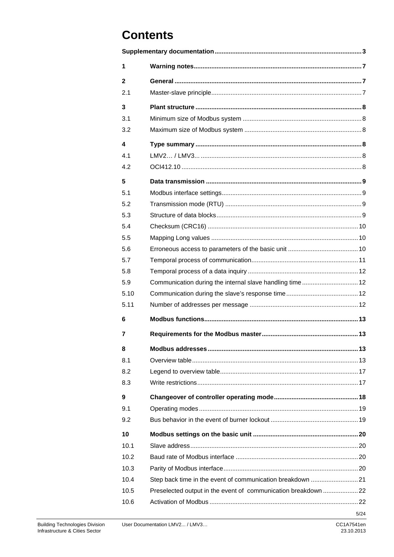## **Contents**

| 1            |                                                               |      |
|--------------|---------------------------------------------------------------|------|
| $\mathbf{2}$ |                                                               |      |
| 2.1          |                                                               |      |
| 3            |                                                               |      |
| 3.1          |                                                               |      |
| 3.2          |                                                               |      |
| 4            |                                                               |      |
| 4.1          |                                                               |      |
| 4.2          |                                                               |      |
|              |                                                               |      |
| 5            |                                                               |      |
| 5.1          |                                                               |      |
| 5.2          |                                                               |      |
| 5.3          |                                                               |      |
| 5.4          |                                                               |      |
| 5.5          |                                                               |      |
| 5.6          |                                                               |      |
| 5.7          |                                                               |      |
| 5.8          |                                                               |      |
| 5.9          | Communication during the internal slave handling time 12      |      |
| 5.10         |                                                               |      |
| 5.11         |                                                               |      |
| 6            |                                                               |      |
| 7            |                                                               |      |
| 8            |                                                               |      |
| 8.1          |                                                               |      |
| 8.2          |                                                               |      |
| 8.3          |                                                               |      |
| 9            |                                                               |      |
| 9.1          |                                                               |      |
| 9.2          |                                                               |      |
| 10           |                                                               |      |
| 10.1         |                                                               |      |
| 10.2         |                                                               |      |
| 10.3         |                                                               |      |
| 10.4         | Step back time in the event of communication breakdown 21     |      |
| 10.5         | Preselected output in the event of communication breakdown 22 |      |
| 10.6         |                                                               |      |
|              |                                                               | 5/24 |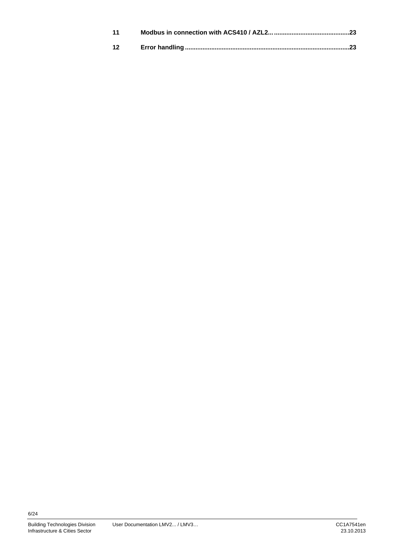| 11 |  |
|----|--|
| 12 |  |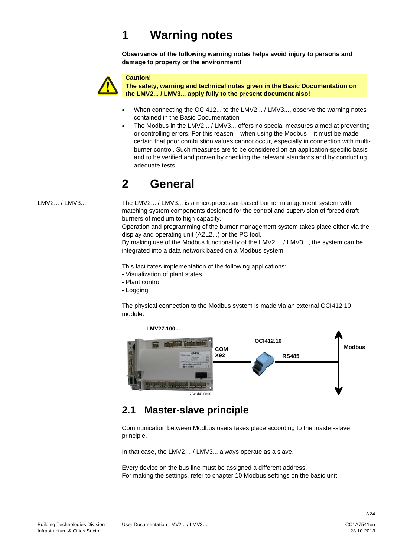## **1 Warning notes**

**Observance of the following warning notes helps avoid injury to persons and damage to property or the environment!** 



#### **Caution!**

**The safety, warning and technical notes given in the Basic Documentation on the LMV2... / LMV3... apply fully to the present document also!** 

- When connecting the OCI412... to the LMV2... / LMV3..., observe the warning notes contained in the Basic Documentation
- The Modbus in the LMV2... / LMV3... offers no special measures aimed at preventing or controlling errors. For this reason – when using the Modbus – it must be made certain that poor combustion values cannot occur, especially in connection with multiburner control. Such measures are to be considered on an application-specific basis and to be verified and proven by checking the relevant standards and by conducting adequate tests

## **2 General**

LMV2... / LMV3...

The LMV2... / LMV3... is a microprocessor-based burner management system with matching system components designed for the control and supervision of forced draft burners of medium to high capacity.

Operation and programming of the burner management system takes place either via the display and operating unit (AZL2...) or the PC tool.

By making use of the Modbus functionality of the LMV2… / LMV3..., the system can be integrated into a data network based on a Modbus system.

This facilitates implementation of the following applications:

- Visualization of plant states
- Plant control
- Logging

The physical connection to the Modbus system is made via an external OCI412.10 module.



### **2.1 Master-slave principle**

Communication between Modbus users takes place according to the master-slave principle.

In that case, the LMV2… / LMV3... always operate as a slave.

Every device on the bus line must be assigned a different address. For making the settings, refer to chapter 10 Modbus settings on the basic unit.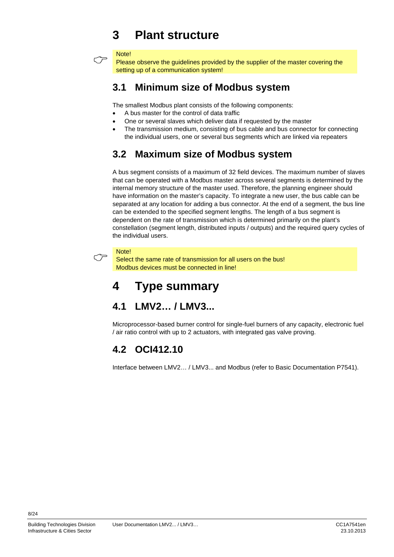## **3 Plant structure**

#### Note!

 $\circlearrowright$ 

Please observe the guidelines provided by the supplier of the master covering the setting up of a communication system!

### **3.1 Minimum size of Modbus system**

The smallest Modbus plant consists of the following components:

- A bus master for the control of data traffic
- One or several slaves which deliver data if requested by the master
- The transmission medium, consisting of bus cable and bus connector for connecting the individual users, one or several bus segments which are linked via repeaters

### **3.2 Maximum size of Modbus system**

A bus segment consists of a maximum of 32 field devices. The maximum number of slaves that can be operated with a Modbus master across several segments is determined by the internal memory structure of the master used. Therefore, the planning engineer should have information on the master's capacity. To integrate a new user, the bus cable can be separated at any location for adding a bus connector. At the end of a segment, the bus line can be extended to the specified segment lengths. The length of a bus segment is dependent on the rate of transmission which is determined primarily on the plant's constellation (segment length, distributed inputs / outputs) and the required query cycles of the individual users.

#### **Note!**

 $\circlearrowright$ 

Select the same rate of transmission for all users on the bus! Modbus devices must be connected in line!

## **4 Type summary**

### **4.1 LMV2… / LMV3...**

Microprocessor-based burner control for single-fuel burners of any capacity, electronic fuel / air ratio control with up to 2 actuators, with integrated gas valve proving.

### **4.2 OCI412.10**

Interface between LMV2… / LMV3... and Modbus (refer to Basic Documentation P7541).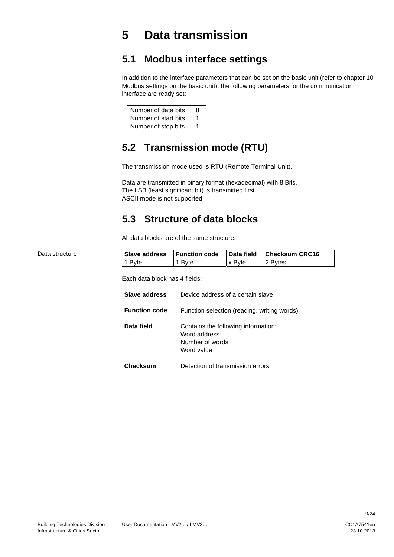## **5 Data transmission**

### **5.1 Modbus interface settings**

In addition to the interface parameters that can be set on the basic unit (refer to chapter 10 Modbus settings on the basic unit), the following parameters for the communication interface are ready set:

| Number of data bits  |  |
|----------------------|--|
| Number of start bits |  |
| Number of stop bits  |  |

### **5.2 Transmission mode (RTU)**

The transmission mode used is RTU (Remote Terminal Unit).

Data are transmitted in binary format (hexadecimal) with 8 Bits. The LSB (least significant bit) is transmitted first. ASCII mode is not supported.

### **5.3 Structure of data blocks**

All data blocks are of the same structure:

|        |        |        | Data field Checksum CRC16 |
|--------|--------|--------|---------------------------|
| 1 Byte | 1 Bvte | x Byte | 2 Bytes                   |

Each data block has 4 fields:

| Slave address        | Device address of a certain slave                                                    |
|----------------------|--------------------------------------------------------------------------------------|
| <b>Function code</b> | Function selection (reading, writing words)                                          |
| Data field           | Contains the following information:<br>Word address<br>Number of words<br>Word value |
| <b>Checksum</b>      | Detection of transmission errors                                                     |

Data structure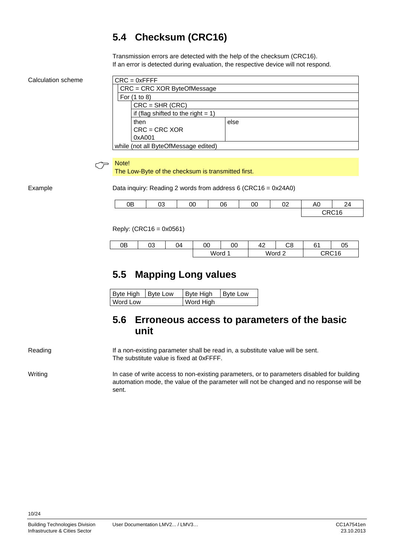### **5.4 Checksum (CRC16)**

Transmission errors are detected with the help of the checksum (CRC16). If an error is detected during evaluation, the respective device will not respond.

Calculation scheme

| $CRC = 0xFFFF$                        |      |  |  |
|---------------------------------------|------|--|--|
| $CRC = CRC$ XOR ByteOfMessage         |      |  |  |
| For (1 to 8)                          |      |  |  |
| $CRC = SHR (CRC)$                     |      |  |  |
| if (flag shifted to the right $= 1$ ) |      |  |  |
| then                                  | else |  |  |
| $CRC = CRC XOR$                       |      |  |  |
| 0xA001                                |      |  |  |
| while (not all ByteOfMessage edited)  |      |  |  |



## **Note!**<br>The Low-Byte of the checksum is transmitted first.

Example

Data inquiry: Reading 2 words from address 6 (CRC16 = 0x24A0)

| 0B | ∩∩<br>სა | 00 | 06 | 00 | $\sim$<br>◡▵ | AC | $\sim$<br>24 |
|----|----------|----|----|----|--------------|----|--------------|
|    |          |    |    |    |              |    | CRC16        |

Reply: (CRC16 = 0x0561)

| 0Β | ∩∩<br>სა | $\Omega$ | 00   | 00 | $\Lambda$<br>╍ | ∩∩<br>UΟ | r,  | ∩ҕ<br>v.                      |
|----|----------|----------|------|----|----------------|----------|-----|-------------------------------|
|    |          |          | Word |    | Word           | ∼        | いいし | $\bigcap$ $\bigcap$ $\bigcap$ |

### **5.5 Mapping Long values**

| Byte High   Byte Low |  | Byte High | Byte Low |
|----------------------|--|-----------|----------|
| <b>Word Low</b>      |  | Word High |          |

### **5.6 Erroneous access to parameters of the basic unit**

If a non-existing parameter shall be read in, a substitute value will be sent. The substitute value is fixed at 0xFFFF. Reading

In case of write access to non-existing parameters, or to parameters disabled for building automation mode, the value of the parameter will not be changed and no response will be sent. Writing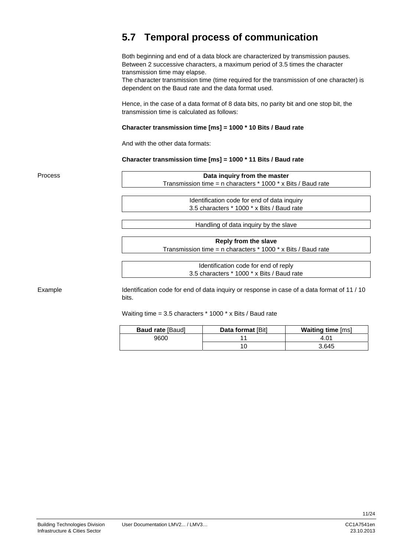### **5.7 Temporal process of communication**

Both beginning and end of a data block are characterized by transmission pauses. Between 2 successive characters, a maximum period of 3.5 times the character transmission time may elapse.

The character transmission time (time required for the transmission of one character) is dependent on the Baud rate and the data format used.

Hence, in the case of a data format of 8 data bits, no parity bit and one stop bit, the transmission time is calculated as follows:

#### **Character transmission time [ms] = 1000 \* 10 Bits / Baud rate**

And with the other data formats:

**Character transmission time [ms] = 1000 \* 11 Bits / Baud rate** 

**Data inquiry from the master**  Transmission time = n characters \* 1000 \* x Bits / Baud rate Identification code for end of data inquiry 3.5 characters \* 1000 \* x Bits / Baud rate Process

Handling of data inquiry by the slave

**Reply from the slave**  Transmission time = n characters \* 1000 \* x Bits / Baud rate

> Identification code for end of reply 3.5 characters \* 1000 \* x Bits / Baud rate

Example

Identification code for end of data inquiry or response in case of a data format of 11 / 10 bits.

Waiting time = 3.5 characters \* 1000 \* x Bits / Baud rate

| <b>Baud rate [Baud]</b> | Data format [Bit] | <b>Waiting time [ms]</b> |
|-------------------------|-------------------|--------------------------|
| 9600                    |                   |                          |
|                         |                   | 3.645                    |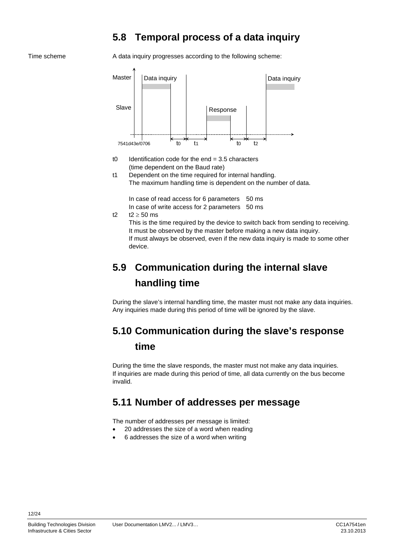### **5.8 Temporal process of a data inquiry**

#### Time scheme

A data inquiry progresses according to the following scheme:



- t0 Identification code for the end  $= 3.5$  characters (time dependent on the Baud rate)
- t1 Dependent on the time required for internal handling. The maximum handling time is dependent on the number of data.

In case of read access for 6 parameters 50 ms

- In case of write access for 2 parameters 50 ms
- t2  $t2 \ge 50$  ms

This is the time required by the device to switch back from sending to receiving. It must be observed by the master before making a new data inquiry. If must always be observed, even if the new data inquiry is made to some other device.

## **5.9 Communication during the internal slave handling time**

During the slave's internal handling time, the master must not make any data inquiries. Any inquiries made during this period of time will be ignored by the slave.

### **5.10 Communication during the slave's response**

### **time**

During the time the slave responds, the master must not make any data inquiries. If inquiries are made during this period of time, all data currently on the bus become invalid.

### **5.11 Number of addresses per message**

The number of addresses per message is limited:

- 20 addresses the size of a word when reading
- 6 addresses the size of a word when writing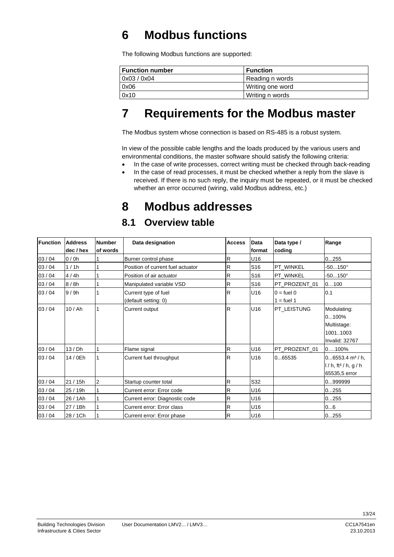## **6 Modbus functions**

The following Modbus functions are supported:

| <b>Function number</b> | <b>Function</b>  |
|------------------------|------------------|
| 0x03 / 0x04            | Reading n words  |
| 0x06                   | Writing one word |
| 0x10                   | Writing n words  |

## **7 Requirements for the Modbus master**

The Modbus system whose connection is based on RS-485 is a robust system.

In view of the possible cable lengths and the loads produced by the various users and environmental conditions, the master software should satisfy the following criteria:

- In the case of write processes, correct writing must be checked through back-reading
- In the case of read processes, it must be checked whether a reply from the slave is received. If there is no such reply, the inquiry must be repeated, or it must be checked whether an error occurred (wiring, valid Modbus address, etc.)

## **8 Modbus addresses**

### **8.1 Overview table**

| Function | <b>Address</b> | <b>Number</b>  | Data designation                  | <b>Access</b> | <b>Data</b>     | Data type /         | Range                              |
|----------|----------------|----------------|-----------------------------------|---------------|-----------------|---------------------|------------------------------------|
|          | dec / hex      | lof words      |                                   |               | lformat         | coding              |                                    |
| 03/04    | 0/0h           |                | Burner control phase              | $\mathsf R$   | U16             |                     | 0255                               |
| 03/04    | 1/1h           |                | Position of current fuel actuator | $\mathsf R$   | S <sub>16</sub> | PT WINKEL           | $-50150^\circ$                     |
| 03/04    | 4/4h           |                | Position of air actuator          | $\mathsf R$   | S <sub>16</sub> | PT WINKEL           | $-50150^{\circ}$                   |
| 03/04    | 8/8h           |                | Manipulated variable VSD          | $\mathsf R$   | S <sub>16</sub> | PT_PROZENT_01       | 0100                               |
| 03/04    | 9/9h           |                | Current type of fuel              | R             | U16             | $0 = \text{fuel} 0$ | 0.1                                |
|          |                |                | (default setting: 0)              |               |                 | $1 =$ fuel 1        |                                    |
| 03/04    | 10/Ah          |                | Current output                    | R             | U16             | PT_LEISTUNG         | Modulating:                        |
|          |                |                |                                   |               |                 |                     | 0100%                              |
|          |                |                |                                   |               |                 |                     | Multistage:                        |
|          |                |                |                                   |               |                 |                     | 10011003                           |
|          |                |                |                                   |               |                 |                     | Invalid: 32767                     |
| 03/04    | 13/Dh          |                | Flame signal                      | $\mathsf R$   | U16             | PT_PROZENT_01       | $0100\%$                           |
| 03/04    | 14 / 0Eh       |                | Current fuel throughput           | R             | U16             | 065535              | $06553.4$ m <sup>3</sup> /h,       |
|          |                |                |                                   |               |                 |                     | $1/h$ , ft <sup>3</sup> / h, g / h |
|          |                |                |                                   |               |                 |                     | 65535,5 error                      |
| 03/04    | 21/15h         | $\overline{2}$ | Startup counter total             | R.            | S32             |                     | 09999999                           |
| 03/04    | 25 / 19h       |                | Current error: Error code         | R             | U16             |                     | 0255                               |
| 03/04    | 26 / 1Ah       |                | Current error: Diagnostic code    | R.            | U16             |                     | 0255                               |
| 03/04    | 27 / 1Bh       |                | Current error: Error class        | $\mathsf R$   | U16             |                     | 06                                 |
| 03/04    | 28 / 1Ch       |                | Current error: Error phase        | R             | U16             |                     | 0255                               |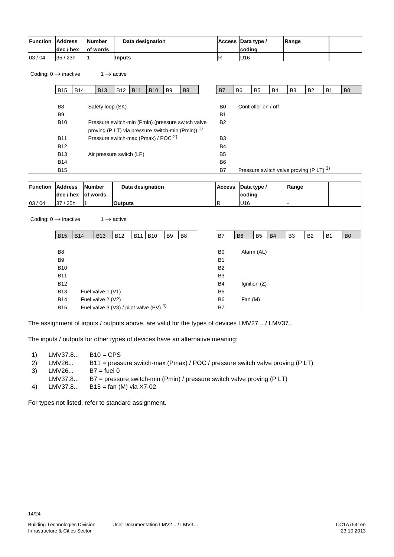| <b>Function</b> | <b>Address</b><br>dec / hex                                              | <b>Number</b><br>of words                      |                | Data designation                                                                                                  |            |                |                |                | coding                                     | Access Data type / |           | Range          |           |           |                |
|-----------------|--------------------------------------------------------------------------|------------------------------------------------|----------------|-------------------------------------------------------------------------------------------------------------------|------------|----------------|----------------|----------------|--------------------------------------------|--------------------|-----------|----------------|-----------|-----------|----------------|
| 03 / 04         | 35 / 23h                                                                 |                                                | <b>Inputs</b>  |                                                                                                                   |            |                |                | R.             | U16                                        |                    |           |                |           |           |                |
|                 | Coding: $0 \rightarrow$ inactive<br>$1 \rightarrow$ active<br><b>B14</b> |                                                |                |                                                                                                                   |            |                |                |                |                                            |                    |           |                |           |           |                |
|                 | <b>B15</b>                                                               | <b>B13</b>                                     | <b>B12</b>     | <b>B11</b>                                                                                                        | <b>B10</b> | B <sub>9</sub> | B <sub>8</sub> | B7             | B <sub>6</sub>                             | B <sub>5</sub>     | <b>B4</b> | B <sub>3</sub> | <b>B2</b> | <b>B1</b> | B <sub>0</sub> |
|                 |                                                                          |                                                |                |                                                                                                                   |            |                |                |                |                                            |                    |           |                |           |           |                |
|                 | B <sub>8</sub>                                                           | Safety loop (SK)                               |                |                                                                                                                   |            |                | B <sub>0</sub> |                | Controller on / off                        |                    |           |                |           |           |                |
|                 | B <sub>9</sub>                                                           |                                                |                |                                                                                                                   |            |                | <b>B1</b>      |                |                                            |                    |           |                |           |           |                |
|                 | <b>B10</b>                                                               |                                                |                | Pressure switch-min (Pmin) (pressure switch valve<br>proving (P LT) via pressure switch-min (Pmin)) <sup>1)</sup> |            |                | <b>B2</b>      |                |                                            |                    |           |                |           |           |                |
|                 | <b>B11</b>                                                               | Pressure switch-max (Pmax) / POC <sup>2)</sup> |                |                                                                                                                   |            |                |                | B <sub>3</sub> |                                            |                    |           |                |           |           |                |
|                 | <b>B12</b>                                                               |                                                |                |                                                                                                                   |            |                |                | <b>B4</b>      |                                            |                    |           |                |           |           |                |
|                 | <b>B13</b>                                                               | Air pressure switch (LP)                       |                |                                                                                                                   |            |                |                | B <sub>5</sub> |                                            |                    |           |                |           |           |                |
|                 | <b>B14</b>                                                               |                                                |                |                                                                                                                   |            |                |                | B <sub>6</sub> |                                            |                    |           |                |           |           |                |
|                 | <b>B15</b>                                                               |                                                |                |                                                                                                                   |            |                |                | B7             | Pressure switch valve proving (P LT) $3$ ) |                    |           |                |           |           |                |
|                 |                                                                          |                                                |                |                                                                                                                   |            |                |                |                |                                            |                    |           |                |           |           |                |
| <b>Function</b> | <b>Address</b><br>dec / hex                                              | <b>Number</b><br>of words                      |                | Data designation                                                                                                  |            |                |                | <b>Access</b>  | coding                                     | Data type /        |           | Range          |           |           |                |
| 03/04           | 37 / 25h                                                                 |                                                | <b>Outputs</b> |                                                                                                                   |            |                |                | <b>R</b>       | U16                                        |                    |           |                |           |           |                |

| Coding: $0 \rightarrow$ inactive |                |            |                   | $1 \rightarrow$ active                       |            |            |    |                |                |                |                |           |                |           |                |                |
|----------------------------------|----------------|------------|-------------------|----------------------------------------------|------------|------------|----|----------------|----------------|----------------|----------------|-----------|----------------|-----------|----------------|----------------|
|                                  |                |            |                   |                                              |            |            |    |                |                |                |                |           |                |           |                |                |
|                                  | <b>B15</b>     | <b>B14</b> | <b>B13</b>        | <b>B12</b>                                   | <b>B11</b> | <b>B10</b> | B9 | B <sub>8</sub> | B7             | B <sub>6</sub> | B <sub>5</sub> | <b>B4</b> | B <sub>3</sub> | <b>B2</b> | B <sub>1</sub> | B <sub>0</sub> |
|                                  |                |            |                   |                                              |            |            |    |                |                |                |                |           |                |           |                |                |
|                                  | B <sub>8</sub> |            |                   |                                              |            |            |    |                | B <sub>0</sub> |                | Alarm (AL)     |           |                |           |                |                |
|                                  | B <sub>9</sub> |            |                   |                                              |            |            |    |                | B <sub>1</sub> |                |                |           |                |           |                |                |
|                                  | <b>B10</b>     |            |                   |                                              |            |            |    |                | <b>B2</b>      |                |                |           |                |           |                |                |
|                                  | <b>B11</b>     |            |                   |                                              |            |            |    |                | B <sub>3</sub> |                |                |           |                |           |                |                |
|                                  | <b>B12</b>     |            |                   |                                              |            |            |    |                | B <sub>4</sub> |                | Ignition (Z)   |           |                |           |                |                |
|                                  | <b>B13</b>     |            | Fuel valve 1 (V1) |                                              |            |            |    |                | B <sub>5</sub> |                |                |           |                |           |                |                |
|                                  | <b>B14</b>     |            | Fuel valve 2 (V2) |                                              |            |            |    |                | B6             | Fan (M)        |                |           |                |           |                |                |
|                                  | <b>B15</b>     |            |                   | Fuel valve 3 (V3) / pilot valve (PV) $^{4)}$ |            |            |    |                | B7             |                |                |           |                |           |                |                |

The assignment of inputs / outputs above, are valid for the types of devices LMV27... / LMV37...

The inputs / outputs for other types of devices have an alternative meaning:

| 1) | LMV37.8 | $B10 = CPS$ |
|----|---------|-------------|
|----|---------|-------------|

- 2) LMV26... B11 = pressure switch-max (Pmax) / POC / pressure switch valve proving (P LT)
- 3)  $LMV26...$  B7 = fuel 0
- LMV37.8... B7 = pressure switch-min (Pmin) / pressure switch valve proving (P LT)
- 4) LMV37.8... B15 = fan (M) via X7-02

For types not listed, refer to standard assignment.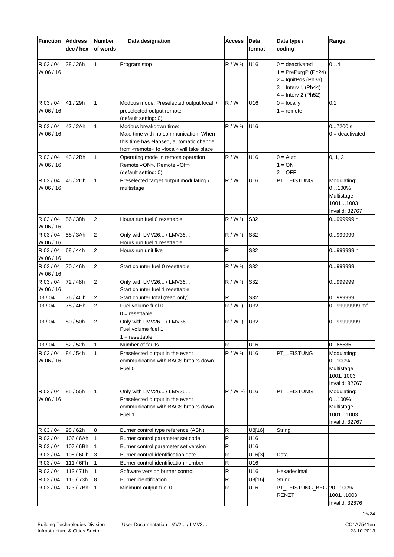| <b>Function</b>        | <b>Address</b><br>dec / hex | <b>Number</b><br>of words | Data designation                                                                                                                                                               | <b>Access</b>          | Data<br>format | Data type /<br>coding                                                                                                 | Range                                                             |
|------------------------|-----------------------------|---------------------------|--------------------------------------------------------------------------------------------------------------------------------------------------------------------------------|------------------------|----------------|-----------------------------------------------------------------------------------------------------------------------|-------------------------------------------------------------------|
| R 03 / 04<br>W 06 / 16 | 38 / 26h                    | 1                         | Program stop                                                                                                                                                                   | R / W <sup>1</sup>     | U16            | $0 =$ deactivated<br>$1 = PrePurqP (Ph24)$<br>$2 =$ IgnitPos (Ph36)<br>$3 =$ Interv 1 (Ph44)<br>$4 =$ Interv 2 (Ph52) | 04                                                                |
| R 03/04<br>W 06 / 16   | 41 / 29h                    | 1                         | Modbus mode: Preselected output local /<br>preselected output remote                                                                                                           | R/W                    | U16            | $0 =$ locally<br>$1 =$ remote                                                                                         | 0.1                                                               |
| R 03 / 04<br>W 06 / 16 | 42 / 2Ah                    | 1                         | (default setting: 0)<br>Modbus breakdown time:<br>Max. time with no communication. When<br>this time has elapsed, automatic change<br>from «remote» to «local» will take place | $R / W$ <sup>1</sup> ) | U16            |                                                                                                                       | 07200 s<br>$0 =$ deactivated                                      |
| R 03/04<br>W 06 / 16   | 43 / 2Bh                    | 1                         | Operating mode in remote operation<br>Remote «ON», Remote «Off»<br>(default setting: 0)                                                                                        | R/W                    | U16            | $0 =$ Auto<br>$1 = ON$<br>$2 = OFF$                                                                                   | 0, 1, 2                                                           |
| R 03 / 04<br>W 06 / 16 | 45 / 2Dh                    | 1                         | Preselected target output modulating /<br>multistage                                                                                                                           | R/W                    | U16            | PT_LEISTUNG                                                                                                           | Modulating:<br>0100%<br>Multistage:<br>10011003<br>Invalid: 32767 |
| R 03/04<br>W 06 / 16   | 56 / 38h                    | $\overline{2}$            | Hours run fuel 0 resettable                                                                                                                                                    | R / W <sup>1</sup>     | S32            |                                                                                                                       | 0999999 h                                                         |
| R 03/04<br>W 06 / 16   | 58 / 3Ah                    | 2                         | Only with LMV26 / LMV36:<br>Hours run fuel 1 resettable                                                                                                                        | R / W <sup>1</sup>     | S32            |                                                                                                                       | 0999999 h                                                         |
| R 03/04<br>W 06 / 16   | 68 / 44h                    | $\overline{2}$            | Hours run unit live                                                                                                                                                            | R                      | S32            |                                                                                                                       | 0999999 h                                                         |
| R 03 / 04<br>W 06 / 16 | 70 / 46h                    | $\overline{2}$            | Start counter fuel 0 resettable                                                                                                                                                | R/W <sup>1</sup>       | S32            |                                                                                                                       | 0999999                                                           |
| R 03 / 04<br>W 06 / 16 | 72 / 48h                    | 2                         | Only with LMV26 / LMV36:<br>Start counter fuel 1 resettable                                                                                                                    | R / W <sup>1</sup>     | S32            |                                                                                                                       | 0999999                                                           |
| 03/04                  | 76 / 4Ch                    | $\overline{2}$            | Start counter total (read only)                                                                                                                                                | R                      | S32            |                                                                                                                       | 0999999                                                           |
| 03/04                  | 78 / 4Eh                    | $\overline{2}$            | Fuel volume fuel 0<br>$0 =$ resettable                                                                                                                                         | $R / W$ <sup>1</sup> ) | U32            |                                                                                                                       | $099999999$ m <sup>3</sup>                                        |
| 03/04                  | 80 / 50h                    | $\overline{2}$            | Only with LMV26 / LMV36:<br>Fuel volume fuel 1<br>$1 =$ resettable                                                                                                             | R / W <sup>1</sup>     | U32            |                                                                                                                       | 099999999                                                         |
| 03/04                  | 82 / 52h                    |                           | Number of faults                                                                                                                                                               | $\mathsf R$            | U16            |                                                                                                                       | 065535                                                            |
| R 03 / 04<br>W 06 / 16 | 84 / 54h                    | 1                         | Preselected output in the event<br>communication with BACS breaks down<br>Fuel 0                                                                                               | R / W <sup>1</sup>     | U16            | PT_LEISTUNG                                                                                                           | Modulating:<br>0100%<br>Multistage:<br>10011003<br>Invalid: 32767 |
| R 03/04<br>W 06 / 16   | 85 / 55h                    | 1                         | Only with LMV26 / LMV36:<br>Preselected output in the event<br>communication with BACS breaks down<br>Fuel 1                                                                   | $R / W$ <sup>1</sup> ) | U16            | PT_LEISTUNG                                                                                                           | Modulating:<br>0100%<br>Multistage:<br>10011003<br>Invalid: 32767 |
| R 03 / 04              | 98 / 62h                    | 8                         | Burner control type reference (ASN)                                                                                                                                            | ${\sf R}$              | U8[16]         | String                                                                                                                |                                                                   |
| R 03 / 04              | 106 / 6Ah                   | $\mathbf{1}$              | Burner control parameter set code                                                                                                                                              | R                      | U16            |                                                                                                                       |                                                                   |
| R 03 / 04              | 107 / 6Bh                   | 1                         | Burner control parameter set version                                                                                                                                           | ${\sf R}$              | U16            |                                                                                                                       |                                                                   |
| R 03 / 04              | 108 / 6Ch                   | 3                         | Burner control identification date                                                                                                                                             | ${\sf R}$              | U16[3]         | Data                                                                                                                  |                                                                   |
| R 03 / 04              | 111 / 6Fh                   | l 1                       | Burner control identification number                                                                                                                                           | ${\sf R}$              | U16            |                                                                                                                       |                                                                   |
| R 03 / 04              | 113/71h                     |                           | Software version burner control                                                                                                                                                | R                      | U16            | Hexadecimal                                                                                                           |                                                                   |
| R 03 / 04              | 115 / 73h                   | 8                         | <b>Burner identification</b>                                                                                                                                                   | R                      | U8[16]         | String                                                                                                                |                                                                   |
| R 03 / 04              | 123 / 7Bh                   | $\overline{1}$            | Minimum output fuel 0                                                                                                                                                          | ${\sf R}$              | U16            | PT_LEISTUNG_BEG 20100%,<br><b>RENZT</b>                                                                               | 10011003<br>Invalid: 32676                                        |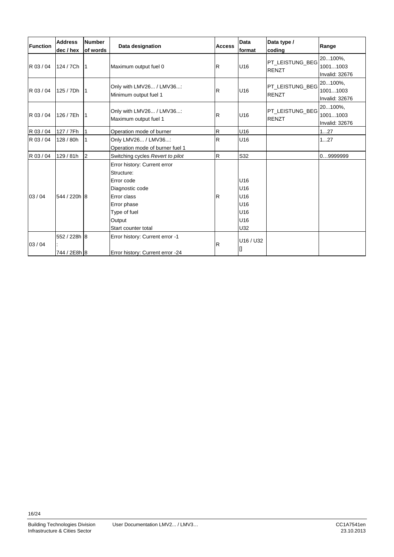| Function  | <b>Address</b><br>dec / hex  | <b>Number</b><br>of words | Data designation                                                                                                                                           | <b>Access</b> | Data<br>format                                | Data type /<br>coding           | Range                                        |
|-----------|------------------------------|---------------------------|------------------------------------------------------------------------------------------------------------------------------------------------------------|---------------|-----------------------------------------------|---------------------------------|----------------------------------------------|
| R 03/04   | 124 / 7Ch                    | $\vert$ 1                 | Maximum output fuel 0                                                                                                                                      | $\mathsf R$   | U16                                           | PT_LEISTUNG_BEG<br><b>RENZT</b> | 20100%,<br>10011003<br><b>Invalid: 32676</b> |
| R 03/04   | 125 / 7Dh                    | 11                        | Only with LMV26 / LMV36:<br>Minimum output fuel 1                                                                                                          | R             | U16                                           | PT_LEISTUNG_BEG<br><b>RENZT</b> | 20100%,<br>10011003<br>Invalid: 32676        |
| R 03/04   | 126 / 7Eh                    | $\vert$ 1                 | Only with LMV26 / LMV36:<br>Maximum output fuel 1                                                                                                          | R             | U16                                           | PT LEISTUNG BEG<br><b>RENZT</b> | 20100%,<br>10011003<br>Invalid: 32676        |
| R 03 / 04 | 127 / 7Fh                    |                           | Operation mode of burner                                                                                                                                   | R             | U16                                           |                                 | 127                                          |
| R 03 / 04 | 128 / 80h                    |                           | Only LMV26 / LMV36:<br>Operation mode of burner fuel 1                                                                                                     | ${\sf R}$     | U16                                           |                                 | 127                                          |
| R 03/04   | 129/81h                      | 2                         | Switching cycles Revert to pilot                                                                                                                           | $\mathsf{R}$  | S32                                           |                                 | 09999999                                     |
| 03/04     | 544 / 220h 8                 |                           | Error history: Current error<br>Structure:<br>Error code<br>Diagnostic code<br>Error class<br>Error phase<br>Type of fuel<br>Output<br>Start counter total | R             | U16<br>U16<br>U16<br>U16<br>U16<br>U16<br>U32 |                                 |                                              |
| 03/04     | 552 / 228h 8<br>744 / 2E8h 8 |                           | Error history: Current error -1<br>Error history: Current error -24                                                                                        | R             | U16 / U32                                     |                                 |                                              |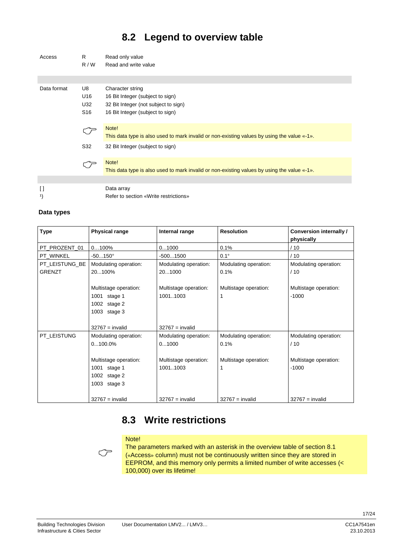### **8.2 Legend to overview table**

| Access                 | R<br>R/W                            | Read only value<br>Read and write value                                                                                          |
|------------------------|-------------------------------------|----------------------------------------------------------------------------------------------------------------------------------|
|                        |                                     |                                                                                                                                  |
| Data format            | U8<br>U16<br>U32<br>S <sub>16</sub> | Character string<br>16 Bit Integer (subject to sign)<br>32 Bit Integer (not subject to sign)<br>16 Bit Integer (subject to sign) |
|                        |                                     | Note!<br>This data type is also used to mark invalid or non-existing values by using the value «-1».                             |
|                        | S32                                 | 32 Bit Integer (subject to sign)                                                                                                 |
|                        |                                     | Note!<br>This data type is also used to mark invalid or non-existing values by using the value «-1».                             |
|                        |                                     |                                                                                                                                  |
| $\Box$<br>$\mathbf{1}$ |                                     | Data array<br>Refer to section «Write restrictions»                                                                              |

#### **Data types**

| <b>Type</b>    | <b>Physical range</b> | Internal range        | <b>Resolution</b>     | Conversion internally / |
|----------------|-----------------------|-----------------------|-----------------------|-------------------------|
|                |                       |                       |                       | physically              |
| PT PROZENT 01  | $0100\%$              | 01000                 | 0.1%                  | /10                     |
| PT WINKEL      | $-50150^{\circ}$      | $-5001500$            | $0.1^\circ$           | /10                     |
| PT LEISTUNG BE | Modulating operation: | Modulating operation: | Modulating operation: | Modulating operation:   |
| <b>GRENZT</b>  | 20100%                | 201000                | 0.1%                  | /10                     |
|                |                       |                       |                       |                         |
|                | Multistage operation: | Multistage operation: | Multistage operation: | Multistage operation:   |
|                | 1001<br>stage 1       | 10011003              |                       | $-1000$                 |
|                | 1002<br>stage 2       |                       |                       |                         |
|                | 1003<br>stage 3       |                       |                       |                         |
|                |                       |                       |                       |                         |
|                | $32767 =$ invalid     | $32767 =$ invalid     |                       |                         |
| PT LEISTUNG    | Modulating operation: | Modulating operation: | Modulating operation: | Modulating operation:   |
|                | $0100.0\%$            | 01000                 | 0.1%                  | /10                     |
|                |                       |                       |                       |                         |
|                | Multistage operation: | Multistage operation: | Multistage operation: | Multistage operation:   |
|                | 1001<br>stage 1       | 10011003              | 1                     | $-1000$                 |
|                | 1002<br>stage 2       |                       |                       |                         |
|                | 1003<br>stage 3       |                       |                       |                         |
|                |                       |                       |                       |                         |
|                | $32767 =$ invalid     | $32767 =$ invalid     | $32767 =$ invalid     | $32767 =$ invalid       |

### **8.3 Write restrictions**



#### Note!

The parameters marked with an asterisk in the overview table of section 8.1 («Access» column) must not be continuously written since they are stored in EEPROM, and this memory only permits a limited number of write accesses (< 100,000) over its lifetime!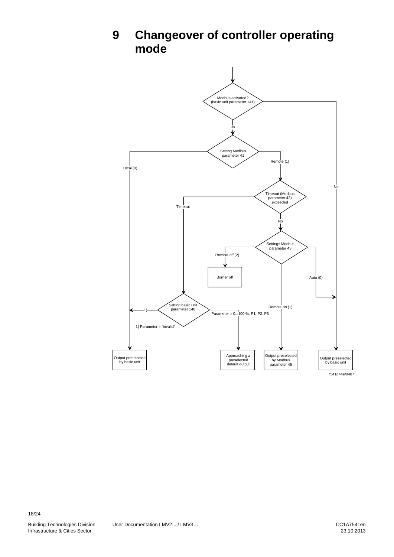

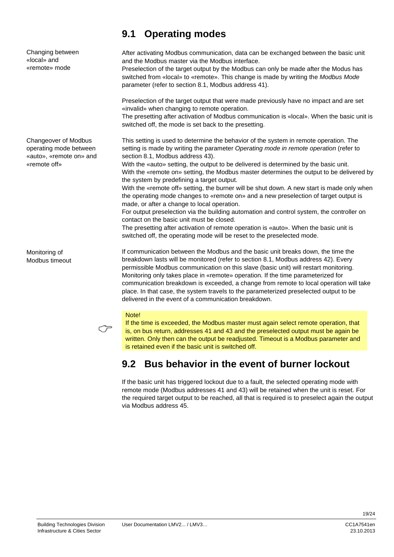Changing between «local» and «remote» mode

Changeover of Modbus operating mode between «auto», «remote on» and «remote off»

Monitoring of Modbus timeout

### **9.1 Operating modes**

After activating Modbus communication, data can be exchanged between the basic unit and the Modbus master via the Modbus interface.

Preselection of the target output by the Modbus can only be made after the Modus has switched from «local» to «remote». This change is made by writing the *Modbus Mode* parameter (refer to section 8.1, Modbus address 41).

Preselection of the target output that were made previously have no impact and are set «invalid» when changing to remote operation.

The presetting after activation of Modbus communication is «local». When the basic unit is switched off, the mode is set back to the presetting.

This setting is used to determine the behavior of the system in remote operation. The setting is made by writing the parameter *Operating mode in remote operation* (refer to section 8.1, Modbus address 43).

With the «auto» setting, the output to be delivered is determined by the basic unit. With the «remote on» setting, the Modbus master determines the output to be delivered by the system by predefining a target output.

With the «remote off» setting, the burner will be shut down. A new start is made only when the operating mode changes to «remote on» and a new preselection of target output is made, or after a change to local operation.

For output preselection via the building automation and control system, the controller on contact on the basic unit must be closed.

The presetting after activation of remote operation is «auto». When the basic unit is switched off, the operating mode will be reset to the preselected mode.

If communication between the Modbus and the basic unit breaks down, the time the breakdown lasts will be monitored (refer to section 8.1, Modbus address 42). Every permissible Modbus communication on this slave (basic unit) will restart monitoring. Monitoring only takes place in «remote» operation. If the time parameterized for communication breakdown is exceeded, a change from remote to local operation will take place. In that case, the system travels to the parameterized preselected output to be delivered in the event of a communication breakdown.

#### Note!

 $\circlearrowright$ 

If the time is exceeded, the Modbus master must again select remote operation, that is, on bus return, addresses 41 and 43 and the preselected output must be again be written. Only then can the output be readjusted. Timeout is a Modbus parameter and is retained even if the basic unit is switched off.

### **9.2 Bus behavior in the event of burner lockout**

If the basic unit has triggered lockout due to a fault, the selected operating mode with remote mode (Modbus addresses 41 and 43) will be retained when the unit is reset. For the required target output to be reached, all that is required is to preselect again the output via Modbus address 45.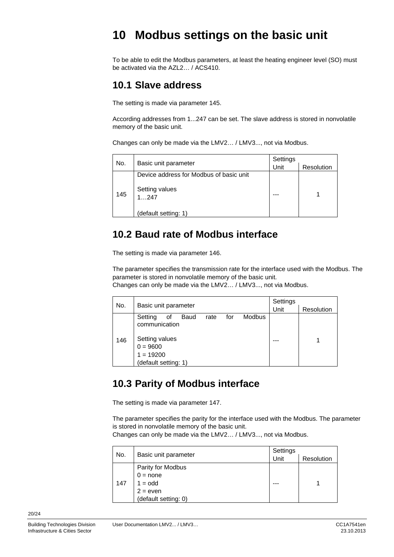## **10 Modbus settings on the basic unit**

To be able to edit the Modbus parameters, at least the heating engineer level (SO) must be activated via the AZL2… / ACS410.

### **10.1 Slave address**

The setting is made via parameter 145.

According addresses from 1...247 can be set. The slave address is stored in nonvolatile memory of the basic unit.

Changes can only be made via the LMV2… / LMV3..., not via Modbus.

| No. |                                         | Settings |            |  |
|-----|-----------------------------------------|----------|------------|--|
|     | Basic unit parameter                    | Unit     | Resolution |  |
|     | Device address for Modbus of basic unit |          |            |  |
| 145 | Setting values<br>1247                  |          |            |  |
|     | (default setting: 1)                    |          |            |  |

### **10.2 Baud rate of Modbus interface**

The setting is made via parameter 146.

The parameter specifies the transmission rate for the interface used with the Modbus. The parameter is stored in nonvolatile memory of the basic unit. Changes can only be made via the LMV2… / LMV3..., not via Modbus.

| No. |                                                                                                               |      |     |               | Settings |            |
|-----|---------------------------------------------------------------------------------------------------------------|------|-----|---------------|----------|------------|
|     | Basic unit parameter                                                                                          |      |     |               | Unit     | Resolution |
| 146 | Setting<br>Baud<br>οf<br>communication<br>Setting values<br>$0 = 9600$<br>$1 = 19200$<br>(default setting: 1) | rate | for | <b>Modbus</b> |          |            |

### **10.3 Parity of Modbus interface**

The setting is made via parameter 147.

The parameter specifies the parity for the interface used with the Modbus. The parameter is stored in nonvolatile memory of the basic unit.

Changes can only be made via the LMV2… / LMV3..., not via Modbus.

| No. |                      | Settings |            |  |  |
|-----|----------------------|----------|------------|--|--|
|     | Basic unit parameter | Unit     | Resolution |  |  |
|     | Parity for Modbus    |          |            |  |  |
|     | $0 = none$           |          |            |  |  |
| 147 | $1 = odd$            |          |            |  |  |
|     | $2 = even$           |          |            |  |  |
|     | (default setting: 0) |          |            |  |  |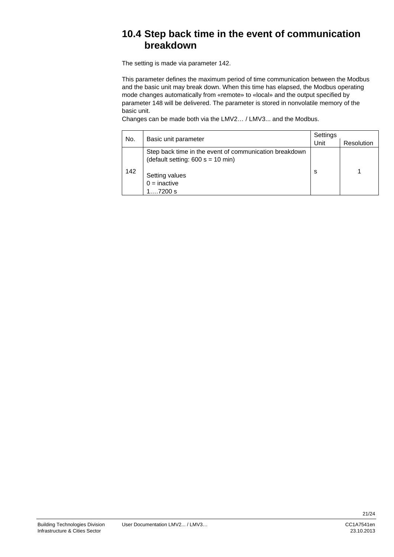### **10.4 Step back time in the event of communication breakdown**

The setting is made via parameter 142.

This parameter defines the maximum period of time communication between the Modbus and the basic unit may break down. When this time has elapsed, the Modbus operating mode changes automatically from «remote» to «local» and the output specified by parameter 148 will be delivered. The parameter is stored in nonvolatile memory of the basic unit.

Changes can be made both via the LMV2… / LMV3... and the Modbus.

| No. |                                                                                                | Settings |            |  |
|-----|------------------------------------------------------------------------------------------------|----------|------------|--|
|     | Basic unit parameter                                                                           | Unit     | Resolution |  |
|     | Step back time in the event of communication breakdown<br>(default setting: $600 s = 10 min$ ) |          |            |  |
| 142 | Setting values<br>$0 =$ inactive<br>l….7200 s                                                  | S        |            |  |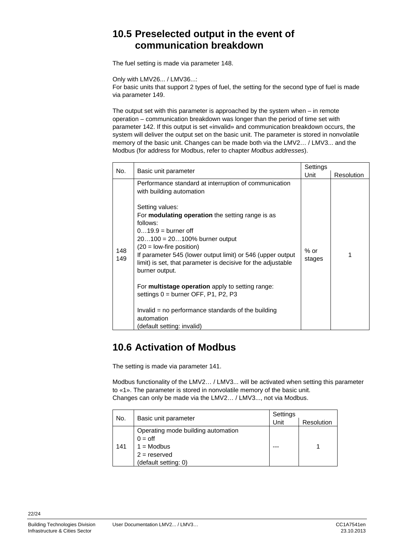### **10.5 Preselected output in the event of communication breakdown**

The fuel setting is made via parameter 148.

Only with LMV26... / LMV36...:

For basic units that support 2 types of fuel, the setting for the second type of fuel is made via parameter 149.

The output set with this parameter is approached by the system when – in remote operation – communication breakdown was longer than the period of time set with parameter 142. If this output is set «invalid» and communication breakdown occurs, the system will deliver the output set on the basic unit. The parameter is stored in nonvolatile memory of the basic unit. Changes can be made both via the LMV2… / LMV3... and the Modbus (for address for Modbus, refer to chapter *Modbus addresses*).

| No.        | Basic unit parameter                                                                                                                                                                                                                                                                                                                                                                                                                                                                                                                                                                 | Settings         |            |
|------------|--------------------------------------------------------------------------------------------------------------------------------------------------------------------------------------------------------------------------------------------------------------------------------------------------------------------------------------------------------------------------------------------------------------------------------------------------------------------------------------------------------------------------------------------------------------------------------------|------------------|------------|
|            |                                                                                                                                                                                                                                                                                                                                                                                                                                                                                                                                                                                      | Unit             | Resolution |
| 148<br>149 | Performance standard at interruption of communication<br>with building automation<br>Setting values:<br>For <b>modulating operation</b> the setting range is as<br>follows:<br>$019.9 =$ burner off<br>$20100 = 20100%$ burner output<br>$(20 = low-free position)$<br>If parameter 545 (lower output limit) or 546 (upper output<br>limit) is set, that parameter is decisive for the adjustable<br>burner output.<br>For multistage operation apply to setting range:<br>settings $0 =$ burner OFF, P1, P2, P3<br>Invalid = no performance standards of the building<br>automation | $%$ or<br>stages |            |
|            | (default setting: invalid)                                                                                                                                                                                                                                                                                                                                                                                                                                                                                                                                                           |                  |            |

### **10.6 Activation of Modbus**

The setting is made via parameter 141.

Modbus functionality of the LMV2… / LMV3... will be activated when setting this parameter to «1». The parameter is stored in nonvolatile memory of the basic unit. Changes can only be made via the LMV2… / LMV3..., not via Modbus.

| No. | Basic unit parameter               | Settings |            |
|-----|------------------------------------|----------|------------|
|     |                                    | Unit     | Resolution |
| 141 | Operating mode building automation |          |            |
|     | $0 =$ off                          |          |            |
|     | $1 = Modbus$                       |          |            |
|     | $2 =$ reserved                     |          |            |
|     | (default setting: 0)               |          |            |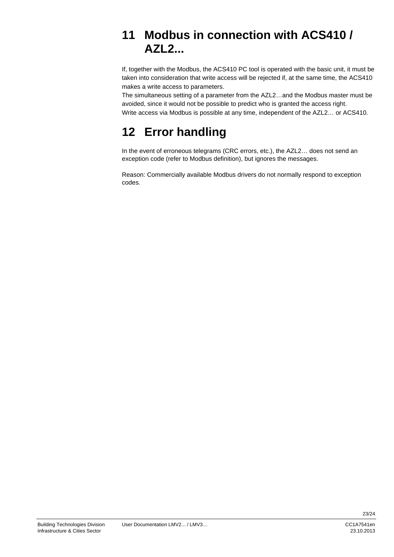## **11 Modbus in connection with ACS410 / AZL2...**

If, together with the Modbus, the ACS410 PC tool is operated with the basic unit, it must be taken into consideration that write access will be rejected if, at the same time, the ACS410 makes a write access to parameters.

The simultaneous setting of a parameter from the AZL2…and the Modbus master must be avoided, since it would not be possible to predict who is granted the access right. Write access via Modbus is possible at any time, independent of the AZL2… or ACS410.

## **12 Error handling**

In the event of erroneous telegrams (CRC errors, etc.), the AZL2... does not send an exception code (refer to Modbus definition), but ignores the messages.

Reason: Commercially available Modbus drivers do not normally respond to exception codes.